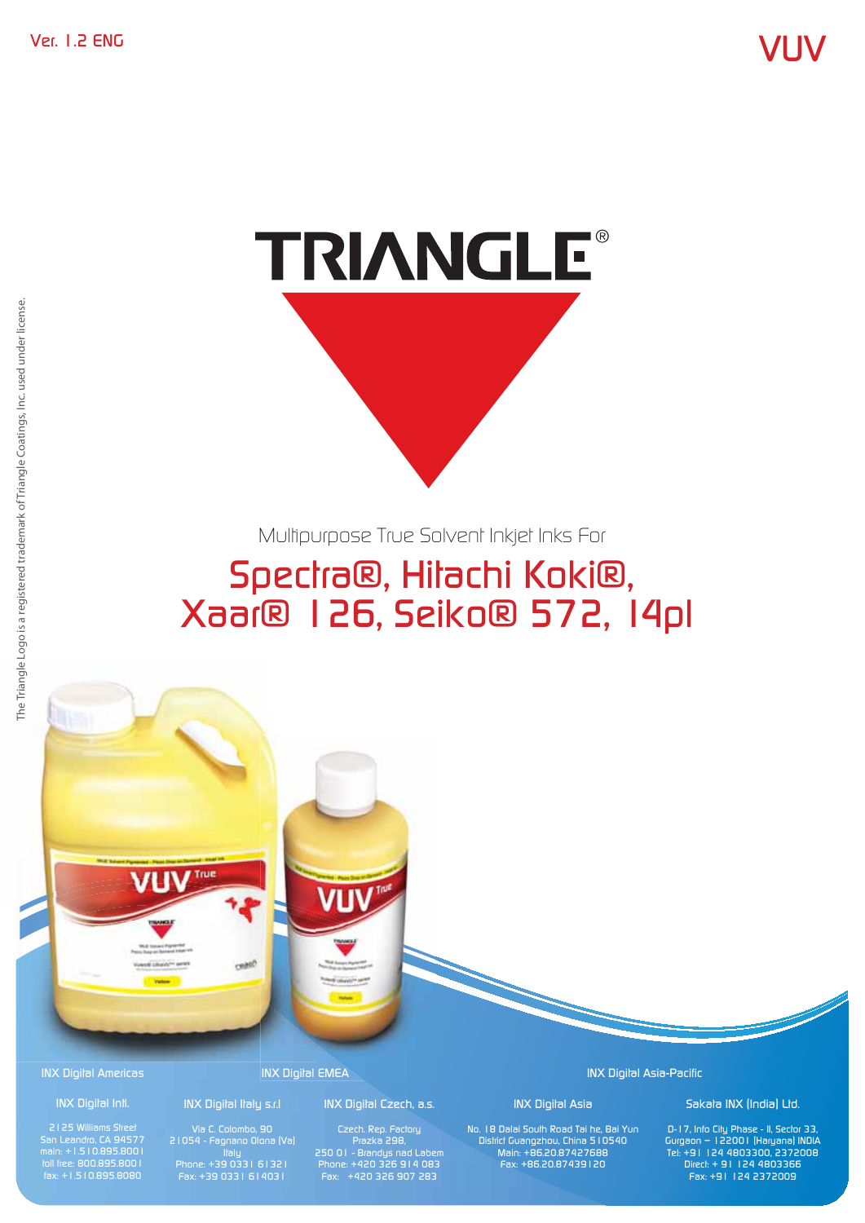

Multipurpose True Solvent Inkjet Inks For

# Spectra®, Hitachi Koki®, Xaar® 126, Seiko® 572, 14pl